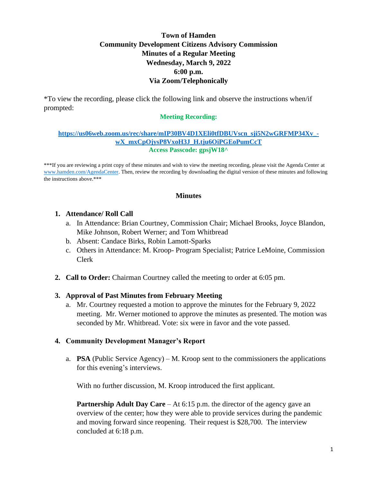# **Town of Hamden Community Development Citizens Advisory Commission Minutes of a Regular Meeting Wednesday, March 9, 2022 6:00 p.m. Via Zoom/Telephonically**

\*To view the recording, please click the following link and observe the instructions when/if prompted:

### **Meeting Recording:**

#### **[https://us06web.zoom.us/rec/share/mIP30BV4D1XEli0tfDBUVscn\\_sji5N2wGRFMP34Xv\\_](https://us06web.zoom.us/rec/share/mIP30BV4D1XEli0tfDBUVscn_sji5N2wGRFMP34Xv_-wX_mxCpOjysP8VxoH3J_H.tju6OiPGEoPumCcT) [wX\\_mxCpOjysP8VxoH3J\\_H.tju6OiPGEoPumCcT](https://us06web.zoom.us/rec/share/mIP30BV4D1XEli0tfDBUVscn_sji5N2wGRFMP34Xv_-wX_mxCpOjysP8VxoH3J_H.tju6OiPGEoPumCcT) Access Passcode: gpsjW18^**

\*\*\*If you are reviewing a print copy of these minutes and wish to view the meeting recording, please visit the Agenda Center at [www.hamden.com/AgendaCenter.](http://www.hamden.com/AgendaCenter) Then, review the recording by downloading the digital version of these minutes and following the instructions above.\*\*\*

#### **Minutes**

## **1. Attendance/ Roll Call**

- a. In Attendance: Brian Courtney, Commission Chair; Michael Brooks, Joyce Blandon, Mike Johnson, Robert Werner; and Tom Whitbread
- b. Absent: Candace Birks, Robin Lamott-Sparks
- c. Others in Attendance: M. Kroop- Program Specialist; Patrice LeMoine, Commission Clerk
- **2. Call to Order:** Chairman Courtney called the meeting to order at 6:05 pm.

## **3. Approval of Past Minutes from February Meeting**

a. Mr. Courtney requested a motion to approve the minutes for the February 9, 2022 meeting. Mr. Werner motioned to approve the minutes as presented. The motion was seconded by Mr. Whitbread. Vote: six were in favor and the vote passed.

## **4. Community Development Manager's Report**

a. **PSA** (Public Service Agency) – M. Kroop sent to the commissioners the applications for this evening's interviews.

With no further discussion, M. Kroop introduced the first applicant.

**Partnership Adult Day Care** – At 6:15 p.m. the director of the agency gave an overview of the center; how they were able to provide services during the pandemic and moving forward since reopening. Their request is \$28,700. The interview concluded at 6:18 p.m.